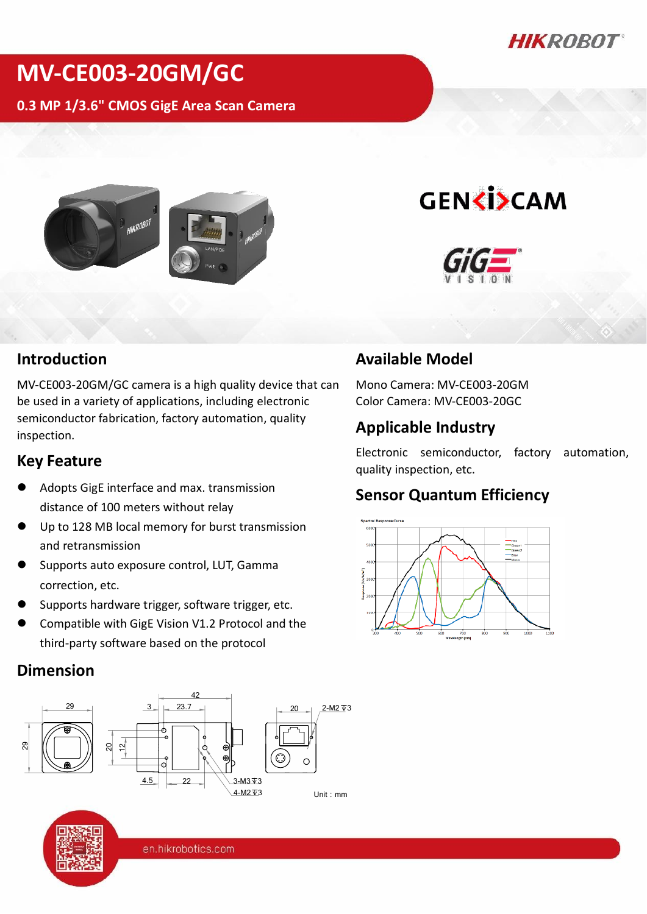*HIKROBOT* 

## **MV-CE003-20GM/GC**

**0.3 MP 1/3.6" CMOS GigE Area Scan Camera**



# **GENKISCAM**



#### **Introduction**

MV-CE003-20GM/GC camera is a high quality device that can be used in a variety of applications, including electronic semiconductor fabrication, factory automation, quality inspection.

#### **Key Feature**

- Adopts GigE interface and max. transmission distance of 100 meters without relay
- Up to 128 MB local memory for burst transmission and retransmission
- Supports auto exposure control, LUT, Gamma correction, etc.
- Supports hardware trigger, software trigger, etc.
- Compatible with GigE Vision V1.2 Protocol and the third-party software based on the protocol

#### **Dimension**



## **Available Model**

Mono Camera: MV-CE003-20GM Color Camera: MV-CE003-20GC

## **Applicable Industry**

Electronic semiconductor, factory automation, quality inspection, etc.

## **Sensor Quantum Efficiency**



en.hikrobotics.com